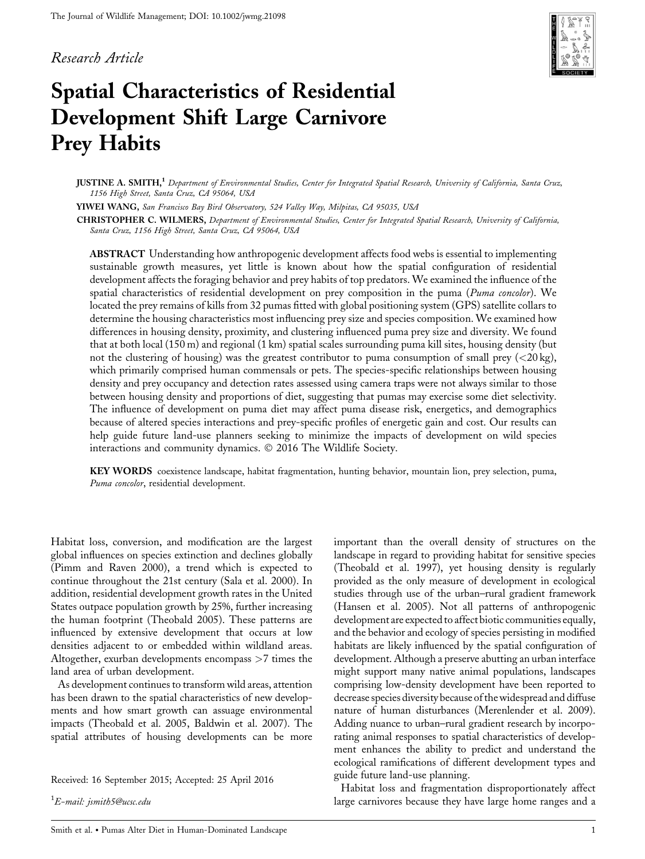## Research Article



# Spatial Characteristics of Residential Development Shift Large Carnivore Prey Habits

JUSTINE A. SMITH,<sup>1</sup> Department of Environmental Studies, Center for Integrated Spatial Research, University of California, Santa Cruz, 1156 High Street, Santa Cruz, CA 95064, USA

YIWEI WANG, San Francisco Bay Bird Observatory, 524 Valley Way, Milpitas, CA 95035, USA

CHRISTOPHER C. WILMERS, Department of Environmental Studies, Center for Integrated Spatial Research, University of California, Santa Cruz, 1156 High Street, Santa Cruz, CA 95064, USA

ABSTRACT Understanding how anthropogenic development affects food webs is essential to implementing sustainable growth measures, yet little is known about how the spatial configuration of residential development affects the foraging behavior and prey habits of top predators. We examined the influence of the spatial characteristics of residential development on prey composition in the puma (Puma concolor). We located the prey remains of kills from 32 pumas fitted with global positioning system (GPS) satellite collars to determine the housing characteristics most influencing prey size and species composition. We examined how differences in housing density, proximity, and clustering influenced puma prey size and diversity. We found that at both local (150 m) and regional (1 km) spatial scales surrounding puma kill sites, housing density (but not the clustering of housing) was the greatest contributor to puma consumption of small prey (<20 kg), which primarily comprised human commensals or pets. The species-specific relationships between housing density and prey occupancy and detection rates assessed using camera traps were not always similar to those between housing density and proportions of diet, suggesting that pumas may exercise some diet selectivity. The influence of development on puma diet may affect puma disease risk, energetics, and demographics because of altered species interactions and prey-specific profiles of energetic gain and cost. Our results can help guide future land-use planners seeking to minimize the impacts of development on wild species interactions and community dynamics.  $©$  2016 The Wildlife Society.

KEY WORDS coexistence landscape, habitat fragmentation, hunting behavior, mountain lion, prey selection, puma, Puma concolor, residential development.

Habitat loss, conversion, and modification are the largest global influences on species extinction and declines globally (Pimm and Raven 2000), a trend which is expected to continue throughout the 21st century (Sala et al. 2000). In addition, residential development growth rates in the United States outpace population growth by 25%, further increasing the human footprint (Theobald 2005). These patterns are influenced by extensive development that occurs at low densities adjacent to or embedded within wildland areas. Altogether, exurban developments encompass >7 times the land area of urban development.

As development continues to transform wild areas, attention has been drawn to the spatial characteristics of new developments and how smart growth can assuage environmental impacts (Theobald et al. 2005, Baldwin et al. 2007). The spatial attributes of housing developments can be more

Received: 16 September 2015; Accepted: 25 April 2016

1 E-mail: jsmith5@ucsc.edu

important than the overall density of structures on the landscape in regard to providing habitat for sensitive species (Theobald et al. 1997), yet housing density is regularly provided as the only measure of development in ecological studies through use of the urban–rural gradient framework (Hansen et al. 2005). Not all patterns of anthropogenic development are expected to affect biotic communities equally, and the behavior and ecology of species persisting in modified habitats are likely influenced by the spatial configuration of development. Although a preserve abutting an urban interface might support many native animal populations, landscapes comprising low-density development have been reported to decrease species diversity because of thewidespread and diffuse nature of human disturbances (Merenlender et al. 2009). Adding nuance to urban–rural gradient research by incorporating animal responses to spatial characteristics of development enhances the ability to predict and understand the ecological ramifications of different development types and guide future land-use planning.

Habitat loss and fragmentation disproportionately affect large carnivores because they have large home ranges and a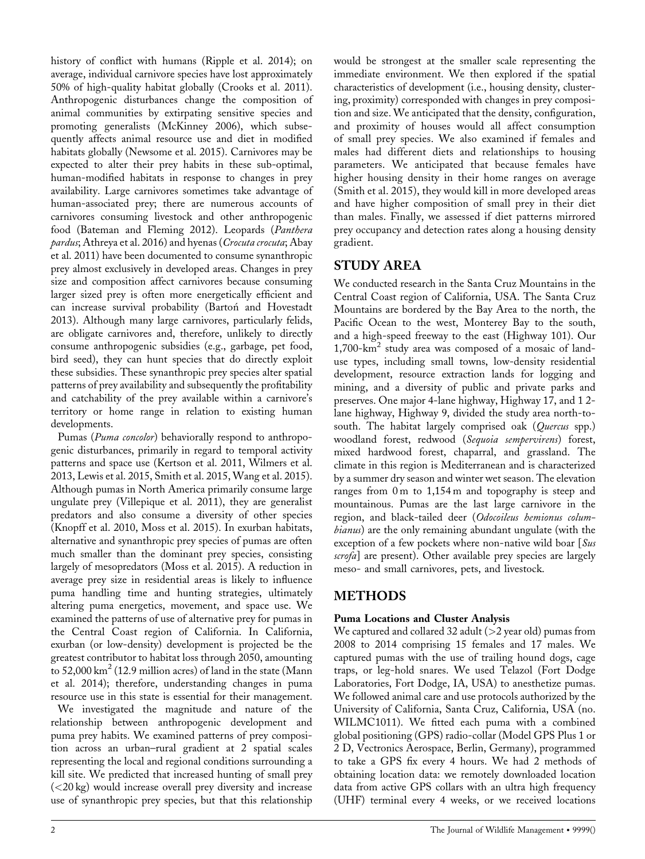history of conflict with humans (Ripple et al. 2014); on average, individual carnivore species have lost approximately 50% of high-quality habitat globally (Crooks et al. 2011). Anthropogenic disturbances change the composition of animal communities by extirpating sensitive species and promoting generalists (McKinney 2006), which subsequently affects animal resource use and diet in modified habitats globally (Newsome et al. 2015). Carnivores may be expected to alter their prey habits in these sub-optimal, human-modified habitats in response to changes in prey availability. Large carnivores sometimes take advantage of human-associated prey; there are numerous accounts of carnivores consuming livestock and other anthropogenic food (Bateman and Fleming 2012). Leopards (Panthera pardus; Athreya et al. 2016) and hyenas (Crocuta crocuta; Abay et al. 2011) have been documented to consume synanthropic prey almost exclusively in developed areas. Changes in prey size and composition affect carnivores because consuming larger sized prey is often more energetically efficient and can increase survival probability (Bartoń and Hovestadt 2013). Although many large carnivores, particularly felids, are obligate carnivores and, therefore, unlikely to directly consume anthropogenic subsidies (e.g., garbage, pet food, bird seed), they can hunt species that do directly exploit these subsidies. These synanthropic prey species alter spatial patterns of prey availability and subsequently the profitability and catchability of the prey available within a carnivore's territory or home range in relation to existing human developments.

Pumas (Puma concolor) behaviorally respond to anthropogenic disturbances, primarily in regard to temporal activity patterns and space use (Kertson et al. 2011, Wilmers et al. 2013, Lewis et al. 2015, Smith et al. 2015, Wang et al. 2015). Although pumas in North America primarily consume large ungulate prey (Villepique et al. 2011), they are generalist predators and also consume a diversity of other species (Knopff et al. 2010, Moss et al. 2015). In exurban habitats, alternative and synanthropic prey species of pumas are often much smaller than the dominant prey species, consisting largely of mesopredators (Moss et al. 2015). A reduction in average prey size in residential areas is likely to influence puma handling time and hunting strategies, ultimately altering puma energetics, movement, and space use. We examined the patterns of use of alternative prey for pumas in the Central Coast region of California. In California, exurban (or low-density) development is projected be the greatest contributor to habitat loss through 2050, amounting to 52,000 km<sup>2</sup> (12.9 million acres) of land in the state (Mann et al. 2014); therefore, understanding changes in puma resource use in this state is essential for their management.

We investigated the magnitude and nature of the relationship between anthropogenic development and puma prey habits. We examined patterns of prey composition across an urban–rural gradient at 2 spatial scales representing the local and regional conditions surrounding a kill site. We predicted that increased hunting of small prey (<20 kg) would increase overall prey diversity and increase use of synanthropic prey species, but that this relationship would be strongest at the smaller scale representing the immediate environment. We then explored if the spatial characteristics of development (i.e., housing density, clustering, proximity) corresponded with changes in prey composition and size. We anticipated that the density, configuration, and proximity of houses would all affect consumption of small prey species. We also examined if females and males had different diets and relationships to housing parameters. We anticipated that because females have higher housing density in their home ranges on average (Smith et al. 2015), they would kill in more developed areas and have higher composition of small prey in their diet than males. Finally, we assessed if diet patterns mirrored prey occupancy and detection rates along a housing density gradient.

# STUDY AREA

We conducted research in the Santa Cruz Mountains in the Central Coast region of California, USA. The Santa Cruz Mountains are bordered by the Bay Area to the north, the Pacific Ocean to the west, Monterey Bay to the south, and a high-speed freeway to the east (Highway 101). Our  $1,700$ -km<sup>2</sup> study area was composed of a mosaic of landuse types, including small towns, low-density residential development, resource extraction lands for logging and mining, and a diversity of public and private parks and preserves. One major 4-lane highway, Highway 17, and 1 2 lane highway, Highway 9, divided the study area north-tosouth. The habitat largely comprised oak (Quercus spp.) woodland forest, redwood (Sequoia sempervirens) forest, mixed hardwood forest, chaparral, and grassland. The climate in this region is Mediterranean and is characterized by a summer dry season and winter wet season. The elevation ranges from 0 m to 1,154 m and topography is steep and mountainous. Pumas are the last large carnivore in the region, and black-tailed deer (Odocoileus hemionus columbianus) are the only remaining abundant ungulate (with the exception of a few pockets where non-native wild boar [Sus scrofa] are present). Other available prey species are largely meso- and small carnivores, pets, and livestock.

# METHODS

## Puma Locations and Cluster Analysis

We captured and collared 32 adult  $(>2$  year old) pumas from 2008 to 2014 comprising 15 females and 17 males. We captured pumas with the use of trailing hound dogs, cage traps, or leg-hold snares. We used Telazol (Fort Dodge Laboratories, Fort Dodge, IA, USA) to anesthetize pumas. We followed animal care and use protocols authorized by the University of California, Santa Cruz, California, USA (no. WILMC1011). We fitted each puma with a combined global positioning (GPS) radio-collar (Model GPS Plus 1 or 2 D, Vectronics Aerospace, Berlin, Germany), programmed to take a GPS fix every 4 hours. We had 2 methods of obtaining location data: we remotely downloaded location data from active GPS collars with an ultra high frequency (UHF) terminal every 4 weeks, or we received locations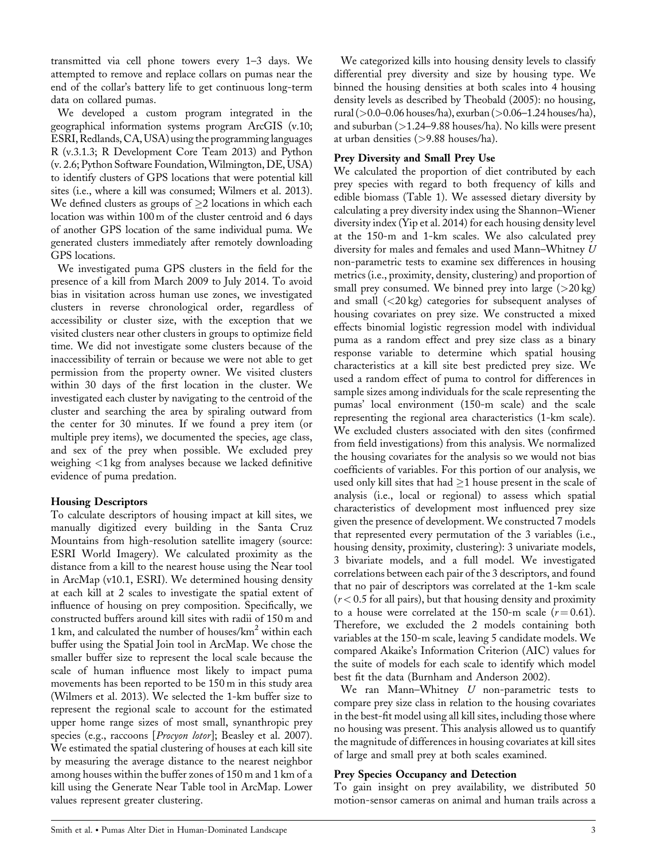transmitted via cell phone towers every 1–3 days. We attempted to remove and replace collars on pumas near the end of the collar's battery life to get continuous long-term data on collared pumas.

We developed a custom program integrated in the geographical information systems program ArcGIS (v.10; ESRI, Redlands, CA, USA) using the programming languages R (v.3.1.3; R Development Core Team 2013) and Python (v. 2.6; Python Software Foundation,Wilmington, DE, USA) to identify clusters of GPS locations that were potential kill sites (i.e., where a kill was consumed; Wilmers et al. 2013). We defined clusters as groups of  $\geq$  locations in which each location was within 100 m of the cluster centroid and 6 days of another GPS location of the same individual puma. We generated clusters immediately after remotely downloading GPS locations.

We investigated puma GPS clusters in the field for the presence of a kill from March 2009 to July 2014. To avoid bias in visitation across human use zones, we investigated clusters in reverse chronological order, regardless of accessibility or cluster size, with the exception that we visited clusters near other clusters in groups to optimize field time. We did not investigate some clusters because of the inaccessibility of terrain or because we were not able to get permission from the property owner. We visited clusters within 30 days of the first location in the cluster. We investigated each cluster by navigating to the centroid of the cluster and searching the area by spiraling outward from the center for 30 minutes. If we found a prey item (or multiple prey items), we documented the species, age class, and sex of the prey when possible. We excluded prey weighing <1 kg from analyses because we lacked definitive evidence of puma predation.

#### Housing Descriptors

To calculate descriptors of housing impact at kill sites, we manually digitized every building in the Santa Cruz Mountains from high-resolution satellite imagery (source: ESRI World Imagery). We calculated proximity as the distance from a kill to the nearest house using the Near tool in ArcMap (v10.1, ESRI). We determined housing density at each kill at 2 scales to investigate the spatial extent of influence of housing on prey composition. Specifically, we constructed buffers around kill sites with radii of 150 m and 1 km, and calculated the number of houses/ $km^2$  within each buffer using the Spatial Join tool in ArcMap. We chose the smaller buffer size to represent the local scale because the scale of human influence most likely to impact puma movements has been reported to be 150 m in this study area (Wilmers et al. 2013). We selected the 1-km buffer size to represent the regional scale to account for the estimated upper home range sizes of most small, synanthropic prey species (e.g., raccoons [*Procyon lotor*]; Beasley et al. 2007). We estimated the spatial clustering of houses at each kill site by measuring the average distance to the nearest neighbor among houses within the buffer zones of 150 m and 1 km of a kill using the Generate Near Table tool in ArcMap. Lower values represent greater clustering.

We categorized kills into housing density levels to classify differential prey diversity and size by housing type. We binned the housing densities at both scales into 4 housing density levels as described by Theobald (2005): no housing, rural (>0.0–0.06 houses/ha), exurban (>0.06–1.24 houses/ha), and suburban (>1.24–9.88 houses/ha). No kills were present at urban densities (>9.88 houses/ha).

#### Prey Diversity and Small Prey Use

We calculated the proportion of diet contributed by each prey species with regard to both frequency of kills and edible biomass (Table 1). We assessed dietary diversity by calculating a prey diversity index using the Shannon–Wiener diversity index (Yip et al. 2014) for each housing density level at the 150-m and 1-km scales. We also calculated prey diversity for males and females and used Mann–Whitney U non-parametric tests to examine sex differences in housing metrics (i.e., proximity, density, clustering) and proportion of small prey consumed. We binned prey into large  $(>20 \text{ kg})$ and small (<20 kg) categories for subsequent analyses of housing covariates on prey size. We constructed a mixed effects binomial logistic regression model with individual puma as a random effect and prey size class as a binary response variable to determine which spatial housing characteristics at a kill site best predicted prey size. We used a random effect of puma to control for differences in sample sizes among individuals for the scale representing the pumas' local environment (150-m scale) and the scale representing the regional area characteristics (1-km scale). We excluded clusters associated with den sites (confirmed from field investigations) from this analysis. We normalized the housing covariates for the analysis so we would not bias coefficients of variables. For this portion of our analysis, we used only kill sites that had  $\geq$ 1 house present in the scale of analysis (i.e., local or regional) to assess which spatial characteristics of development most influenced prey size given the presence of development. We constructed 7 models that represented every permutation of the 3 variables (i.e., housing density, proximity, clustering): 3 univariate models, 3 bivariate models, and a full model. We investigated correlations between each pair of the 3 descriptors, and found that no pair of descriptors was correlated at the 1-km scale  $(r < 0.5$  for all pairs), but that housing density and proximity to a house were correlated at the 150-m scale  $(r=0.61)$ . Therefore, we excluded the 2 models containing both variables at the 150-m scale, leaving 5 candidate models. We compared Akaike's Information Criterion (AIC) values for the suite of models for each scale to identify which model best fit the data (Burnham and Anderson 2002).

We ran Mann–Whitney  $U$  non-parametric tests to compare prey size class in relation to the housing covariates in the best-fit model using all kill sites, including those where no housing was present. This analysis allowed us to quantify the magnitude of differences in housing covariates at kill sites of large and small prey at both scales examined.

#### Prey Species Occupancy and Detection

To gain insight on prey availability, we distributed 50 motion-sensor cameras on animal and human trails across a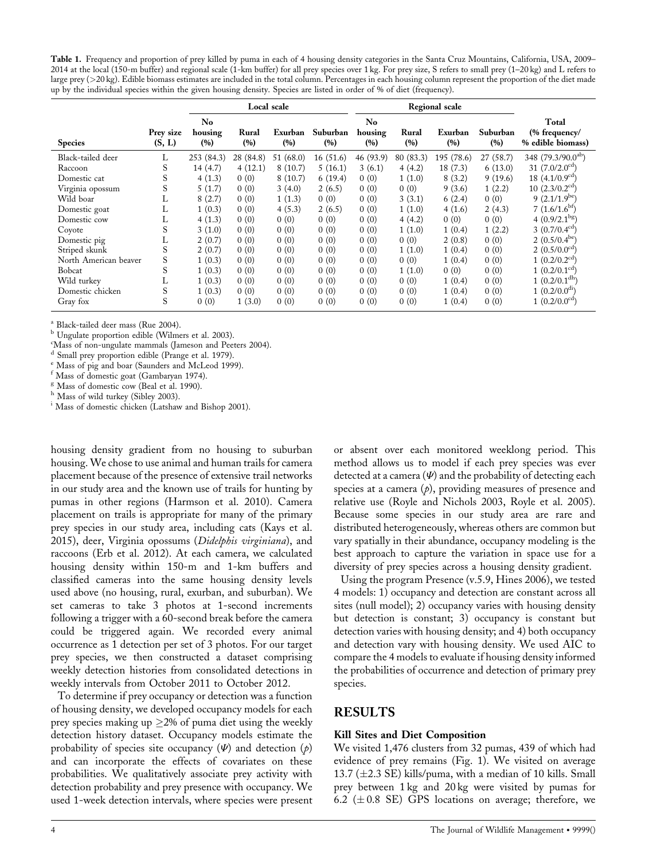Table 1. Frequency and proportion of prey killed by puma in each of 4 housing density categories in the Santa Cruz Mountains, California, USA, 2009– 2014 at the local (150-m buffer) and regional scale (1-km buffer) for all prey species over 1 kg. For prey size, S refers to small prey (1–20 kg) and L refers to large prey (>20 kg). Edible biomass estimates are included in the total column. Percentages in each housing column represent the proportion of the diet made up by the individual species within the given housing density. Species are listed in order of % of diet (frequency).

|                       |                     | <b>Local scale</b>   |              |                |                 | Regional scale                   |              |                |                 |                                             |
|-----------------------|---------------------|----------------------|--------------|----------------|-----------------|----------------------------------|--------------|----------------|-----------------|---------------------------------------------|
| <b>Species</b>        | Prey size<br>(S, L) | No<br>housing<br>(%) | Rural<br>(%) | Exurban<br>(%) | Suburban<br>(%) | N <sub>o</sub><br>housing<br>(%) | Rural<br>(%) | Exurban<br>(%) | Suburban<br>(%) | Total<br>(% frequency/<br>% edible biomass) |
| Black-tailed deer     | L                   | 253 (84.3)           | 28 (84.8)    | 51 (68.0)      | 16(51.6)        | 46 (93.9)                        | 80 (83.3)    | 195 (78.6)     | 27(58.7)        | 348 $(79.3/90.0^{ab})$                      |
| Raccoon               | S                   | 14(4.7)              | 4(12.1)      | 8(10.7)        | 5(16.1)         | 3(6.1)                           | 4(4.2)       | 18(7.3)        | 6(13.0)         | 31 $(7.0/2.0^{\text{cd}})$                  |
| Domestic cat          | S                   | 4(1.3)               | 0(0)         | 8(10.7)        | 6(19.4)         | 0(0)                             | 1(1.0)       | 8(3.2)         | 9(19.6)         | 18 $(4.1/0.9cd)$                            |
| Virginia opossum      | S                   | 5(1.7)               | 0(0)         | 3(4.0)         | 2(6.5)          | 0(0)                             | 0(0)         | 9(3.6)         | 1(2.2)          | 10(2.3/0.2 <sup>cd</sup> )                  |
| Wild boar             | L                   | 8(2.7)               | 0(0)         | 1(1.3)         | 0(0)            | 0(0)                             | 3(3.1)       | 6(2.4)         | 0(0)            | $9(2.1/1.9^{be})$                           |
| Domestic goat         | L                   | 1(0.3)               | 0(0)         | 4(5.3)         | 2(6.5)          | 0(0)                             | 1(1.0)       | 4(1.6)         | 2(4.3)          | $7(1.6/1.6^{bt})$                           |
| Domestic cow          | L                   | 4(1.3)               | 0(0)         | 0(0)           | 0(0)            | 0(0)                             | 4(4.2)       | 0(0)           | 0(0)            | $4(0.9/2.1^{bg})$                           |
| Coyote                | S                   | 3(1.0)               | 0(0)         | 0(0)           | 0(0)            | 0(0)                             | 1(1.0)       | 1(0.4)         | 1(2.2)          | 3 $(0.7/0.4cd)$                             |
| Domestic pig          | L                   | 2(0.7)               | 0(0)         | 0(0)           | 0(0)            | 0(0)                             | 0(0)         | 2(0.8)         | 0(0)            | 2 $(0.5/0.4^{be})$                          |
| Striped skunk         | S                   | 2(0.7)               | 0(0)         | 0(0)           | 0(0)            | 0(0)                             | 1(1.0)       | 1(0.4)         | 0(0)            | 2 $(0.5/0.0^{\text{cd}})$                   |
| North American beaver | S                   | 1(0.3)               | 0(0)         | 0(0)           | 0(0)            | 0(0)                             | 0(0)         | 1(0.4)         | 0(0)            | $1(0.2/0.2^{\text{cd}})$                    |
| Bobcat                | S                   | 1(0.3)               | 0(0)         | 0(0)           | 0(0)            | 0(0)                             | 1(1.0)       | 0(0)           | 0(0)            | 1(0.2/0.1 <sup>cd</sup> )                   |
| Wild turkey           | ┶                   | 1(0.3)               | 0(0)         | 0(0)           | 0(0)            | 0(0)                             | 0(0)         | 1(0.4)         | 0(0)            | $1(0.2/0.1^{\text{dh}})$                    |
| Domestic chicken      | S                   | 1(0.3)               | 0(0)         | 0(0)           | 0(0)            | 0(0)                             | 0(0)         | 1(0.4)         | 0(0)            | $1(0.2/0.0^{di})$                           |
| Gray fox              | S                   | 0(0)                 | 1(3.0)       | 0(0)           | 0(0)            | 0(0)                             | 0(0)         | 1(0.4)         | 0(0)            | $1(0.2/0.0^{\text{cd}})$                    |

<sup>a</sup> Black-tailed deer mass (Rue 2004).

<sup>b</sup> Ungulate proportion edible (Wilmers et al. 2003).

c Mass of non-ungulate mammals (Jameson and Peeters 2004).

Small prey proportion edible (Prange et al. 1979).

<sup>e</sup> Mass of pig and boar (Saunders and McLeod 1999).

<sup>f</sup> Mass of domestic goat (Gambaryan 1974).

<sup>g</sup> Mass of domestic cow (Beal et al. 1990).

h Mass of wild turkey (Sibley 2003).

<sup>i</sup> Mass of domestic chicken (Latshaw and Bishop 2001).

housing density gradient from no housing to suburban housing. We chose to use animal and human trails for camera placement because of the presence of extensive trail networks in our study area and the known use of trails for hunting by pumas in other regions (Harmson et al. 2010). Camera placement on trails is appropriate for many of the primary prey species in our study area, including cats (Kays et al. 2015), deer, Virginia opossums (Didelphis virginiana), and raccoons (Erb et al. 2012). At each camera, we calculated housing density within 150-m and 1-km buffers and classified cameras into the same housing density levels used above (no housing, rural, exurban, and suburban). We set cameras to take 3 photos at 1-second increments following a trigger with a 60-second break before the camera could be triggered again. We recorded every animal occurrence as 1 detection per set of 3 photos. For our target prey species, we then constructed a dataset comprising weekly detection histories from consolidated detections in weekly intervals from October 2011 to October 2012.

To determine if prey occupancy or detection was a function of housing density, we developed occupancy models for each prey species making up  $\geq$ 2% of puma diet using the weekly detection history dataset. Occupancy models estimate the probability of species site occupancy  $(\Psi)$  and detection  $(\rho)$ and can incorporate the effects of covariates on these probabilities. We qualitatively associate prey activity with detection probability and prey presence with occupancy. We used 1-week detection intervals, where species were present

or absent over each monitored weeklong period. This method allows us to model if each prey species was ever detected at a camera  $(\Psi)$  and the probability of detecting each species at a camera  $(p)$ , providing measures of presence and relative use (Royle and Nichols 2003, Royle et al. 2005). Because some species in our study area are rare and distributed heterogeneously, whereas others are common but vary spatially in their abundance, occupancy modeling is the best approach to capture the variation in space use for a diversity of prey species across a housing density gradient.

Using the program Presence (v.5.9, Hines 2006), we tested 4 models: 1) occupancy and detection are constant across all sites (null model); 2) occupancy varies with housing density but detection is constant; 3) occupancy is constant but detection varies with housing density; and 4) both occupancy and detection vary with housing density. We used AIC to compare the 4 models to evaluate if housing density informed the probabilities of occurrence and detection of primary prey species.

## RESULTS

#### Kill Sites and Diet Composition

We visited 1,476 clusters from 32 pumas, 439 of which had evidence of prey remains (Fig. 1). We visited on average 13.7 ( $\pm$ 2.3 SE) kills/puma, with a median of 10 kills. Small prey between 1 kg and 20 kg were visited by pumas for 6.2 ( $\pm$  0.8 SE) GPS locations on average; therefore, we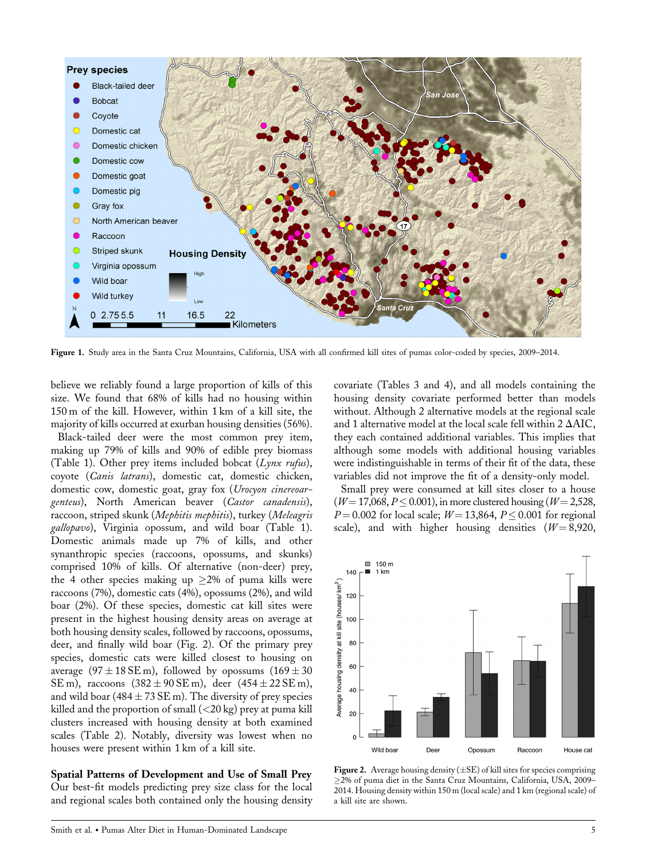

Figure 1. Study area in the Santa Cruz Mountains, California, USA with all confirmed kill sites of pumas color-coded by species, 2009–2014.

believe we reliably found a large proportion of kills of this size. We found that 68% of kills had no housing within 150 m of the kill. However, within 1 km of a kill site, the majority of kills occurred at exurban housing densities (56%).

Black-tailed deer were the most common prey item, making up 79% of kills and 90% of edible prey biomass (Table 1). Other prey items included bobcat  $(Lynx \; rufus)$ , coyote (Canis latrans), domestic cat, domestic chicken, domestic cow, domestic goat, gray fox (Urocyon cinereoargenteus), North American beaver (Castor canadensis), raccoon, striped skunk (Mephitis mephitis), turkey (Meleagris gallopavo), Virginia opossum, and wild boar (Table 1). Domestic animals made up 7% of kills, and other synanthropic species (raccoons, opossums, and skunks) comprised 10% of kills. Of alternative (non-deer) prey, the 4 other species making up  $\geq$ 2% of puma kills were raccoons (7%), domestic cats (4%), opossums (2%), and wild boar (2%). Of these species, domestic cat kill sites were present in the highest housing density areas on average at both housing density scales, followed by raccoons, opossums, deer, and finally wild boar (Fig. 2). Of the primary prey species, domestic cats were killed closest to housing on average (97  $\pm$  18 SE m), followed by opossums (169  $\pm$  30 SE m), raccoons  $(382 \pm 90 \text{ SE m})$ , deer  $(454 \pm 22 \text{ SE m})$ , and wild boar (484  $\pm$  73 SE m). The diversity of prey species killed and the proportion of small (<20 kg) prey at puma kill clusters increased with housing density at both examined scales (Table 2). Notably, diversity was lowest when no houses were present within 1 km of a kill site.

Spatial Patterns of Development and Use of Small Prey Our best-fit models predicting prey size class for the local and regional scales both contained only the housing density covariate (Tables 3 and 4), and all models containing the housing density covariate performed better than models without. Although 2 alternative models at the regional scale and 1 alternative model at the local scale fell within  $2 \triangle AIC$ , they each contained additional variables. This implies that although some models with additional housing variables were indistinguishable in terms of their fit of the data, these variables did not improve the fit of a density-only model.

Small prey were consumed at kill sites closer to a house  $(W = 17,068, P \le 0.001)$ , in more clustered housing  $(W = 2,528,$  $P = 0.002$  for local scale;  $W = 13,864, P \le 0.001$  for regional scale), and with higher housing densities  $(W = 8,920,$ 



Figure 2. Average housing density  $(\pm SE)$  of kill sites for species comprising  $\geq$ 2% of puma diet in the Santa Cruz Mountains, California, USA, 2009– 2014. Housing density within 150 m (local scale) and 1 km (regional scale) of a kill site are shown.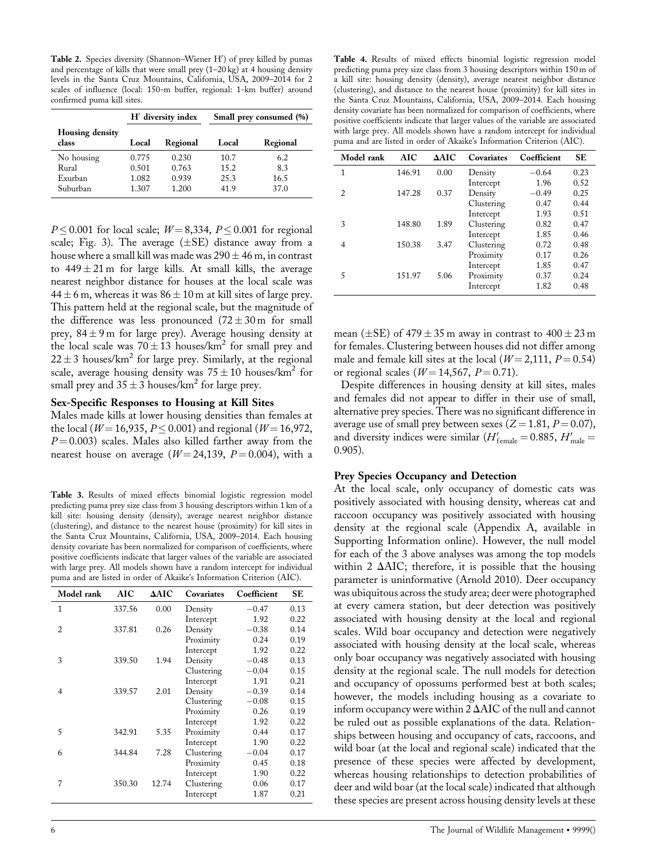**Table 2.** Species diversity (Shannon–Wiener H') of prey killed by pumas and percentage of kills that were small prey (1–20 kg) at 4 housing density levels in the Santa Cruz Mountains, California, USA, 2009–2014 for 2 scales of influence (local: 150-m buffer, regional: 1-km buffer) around confirmed puma kill sites.

|                                            |                                  | H' diversity index               | Small prey consumed (%)      |                            |  |
|--------------------------------------------|----------------------------------|----------------------------------|------------------------------|----------------------------|--|
| <b>Housing density</b><br>class            | Local                            | Regional                         | Local                        | Regional                   |  |
| No housing<br>Rural<br>Exurban<br>Suburban | 0.775<br>0.501<br>1.082<br>1.307 | 0.230<br>0.763<br>0.939<br>1.200 | 10.7<br>15.2<br>25.3<br>41.9 | 6.2<br>8.3<br>16.5<br>37.0 |  |

 $P \leq 0.001$  for local scale;  $W = 8,334, P \leq 0.001$  for regional scale; Fig. 3). The average  $(\pm SE)$  distance away from a house where a small kill was made was  $290 \pm 46$  m, in contrast to  $449 \pm 21$  m for large kills. At small kills, the average nearest neighbor distance for houses at the local scale was  $44 \pm 6$  m, whereas it was  $86 \pm 10$  m at kill sites of large prey. This pattern held at the regional scale, but the magnitude of the difference was less pronounced  $(72 \pm 30 \,\text{m}$  for small prey,  $84 \pm 9$  m for large prey). Average housing density at the local scale was  $70 \pm 13$  houses/km<sup>2</sup> for small prey and  $22 \pm 3$  houses/km<sup>2</sup> for large prey. Similarly, at the regional scale, average housing density was  $75 \pm 10$  houses/km<sup>2</sup> for small prey and  $35 \pm 3$  houses/km<sup>2</sup> for large prey.

#### Sex-Specific Responses to Housing at Kill Sites

Males made kills at lower housing densities than females at the local ( $W = 16,935, P \le 0.001$ ) and regional ( $W = 16,972,$  $P = 0.003$ ) scales. Males also killed farther away from the nearest house on average ( $W = 24,139, P = 0.004$ ), with a

Table 3. Results of mixed effects binomial logistic regression model predicting puma prey size class from 3 housing descriptors within 1 km of a kill site: housing density (density), average nearest neighbor distance (clustering), and distance to the nearest house (proximity) for kill sites in the Santa Cruz Mountains, California, USA, 2009–2014. Each housing density covariate has been normalized for comparison of coefficients, where positive coefficients indicate that larger values of the variable are associated with large prey. All models shown have a random intercept for individual puma and are listed in order of Akaike's Information Criterion (AIC).

| Model rank     | <b>AIC</b> | $\Delta AIC$ | Covariates | Coefficient | SE   |
|----------------|------------|--------------|------------|-------------|------|
| 1              | 337.56     | 0.00         | Density    | $-0.47$     | 0.13 |
|                |            |              | Intercept  | 1.92        | 0.22 |
| $\mathfrak{D}$ | 337.81     | 0.26         | Density    | $-0.38$     | 0.14 |
|                |            |              | Proximity  | 0.24        | 0.19 |
|                |            |              | Intercept  | 1.92        | 0.22 |
| 3              | 339.50     | 1.94         | Density    | $-0.48$     | 0.13 |
|                |            |              | Clustering | $-0.04$     | 0.15 |
|                |            |              | Intercept  | 1.91        | 0.21 |
| $\overline{4}$ | 339.57     | 2.01         | Density    | $-0.39$     | 0.14 |
|                |            |              | Clustering | $-0.08$     | 0.15 |
|                |            |              | Proximity  | 0.26        | 0.19 |
|                |            |              | Intercept  | 1.92        | 0.22 |
| 5              | 342.91     | 5.35         | Proximity  | 0.44        | 0.17 |
|                |            |              | Intercept  | 1.90        | 0.22 |
| 6              | 344.84     | 7.28         | Clustering | $-0.04$     | 0.17 |
|                |            |              | Proximity  | 0.45        | 0.18 |
|                |            |              | Intercept  | 1.90        | 0.22 |
| 7              | 350.30     | 12.74        | Clustering | 0.06        | 0.17 |
|                |            |              | Intercept  | 1.87        | 0.21 |

| Model rank | <b>AIC</b> | $\Delta AIC$ | Covariates | Coefficient | <b>SE</b> |
|------------|------------|--------------|------------|-------------|-----------|
| 1          | 146.91     | 0.00         | Density    | $-0.64$     | 0.23      |
|            |            |              | Intercept  | 1.96        | 0.52      |
| 2          | 147.28     | 0.37         | Density    | $-0.49$     | 0.25      |
|            |            |              | Clustering | 0.47        | 0.44      |
|            |            |              | Intercept  | 1.93        | 0.51      |
| 3          | 148.80     | 1.89         | Clustering | 0.82        | 0.47      |
|            |            |              | Intercept  | 1.85        | 0.46      |
| 4          | 150.38     | 3.47         | Clustering | 0.72        | 0.48      |
|            |            |              | Proximity  | 0.17        | 0.26      |
|            |            |              | Intercept  | 1.85        | 0.47      |
| 5          | 151.97     | 5.06         | Proximity  | 0.37        | 0.24      |
|            |            |              | Intercept  | 1.82        | 0.48      |

mean ( $\pm$ SE) of 479  $\pm$  35 m away in contrast to 400  $\pm$  23 m for females. Clustering between houses did not differ among male and female kill sites at the local ( $W = 2,111, P = 0.54$ ) or regional scales ( $W = 14,567, P = 0.71$ ).

Despite differences in housing density at kill sites, males and females did not appear to differ in their use of small, alternative prey species. There was no significant difference in average use of small prey between sexes ( $Z = 1.81$ ,  $P = 0.07$ ), and diversity indices were similar ( $H'_{\text{female}} = 0.885, H'_{\text{male}} = 0.885$ 0.905).

#### Prey Species Occupancy and Detection

At the local scale, only occupancy of domestic cats was positively associated with housing density, whereas cat and raccoon occupancy was positively associated with housing density at the regional scale (Appendix A, available in Supporting Information online). However, the null model for each of the 3 above analyses was among the top models within 2  $\Delta AIC$ ; therefore, it is possible that the housing parameter is uninformative (Arnold 2010). Deer occupancy was ubiquitous across the study area; deer were photographed at every camera station, but deer detection was positively associated with housing density at the local and regional scales. Wild boar occupancy and detection were negatively associated with housing density at the local scale, whereas only boar occupancy was negatively associated with housing density at the regional scale. The null models for detection and occupancy of opossums performed best at both scales; however, the models including housing as a covariate to inform occupancy were within  $2 \Delta AIC$  of the null and cannot be ruled out as possible explanations of the data. Relationships between housing and occupancy of cats, raccoons, and wild boar (at the local and regional scale) indicated that the presence of these species were affected by development, whereas housing relationships to detection probabilities of deer and wild boar (at the local scale) indicated that although these species are present across housing density levels at these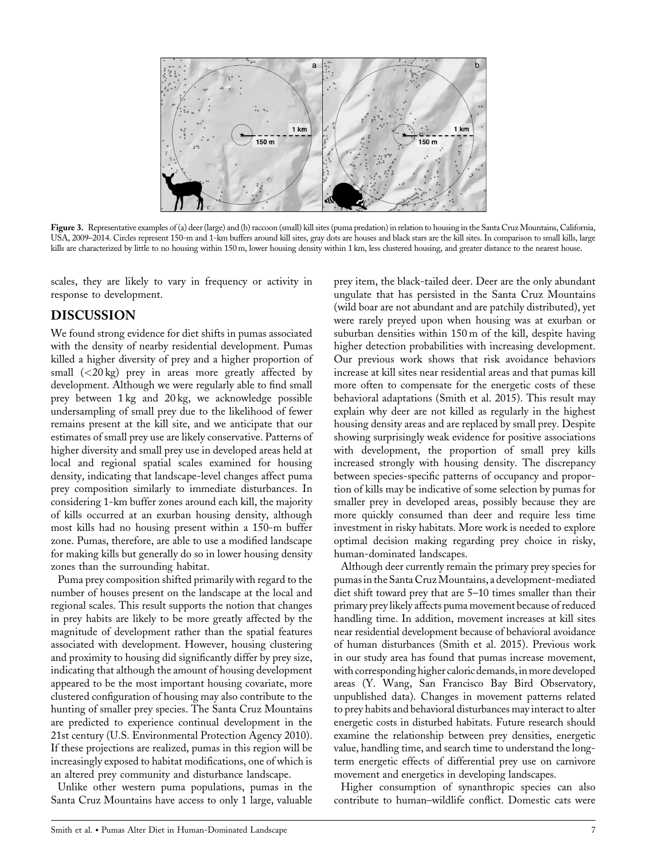

Figure 3. Representative examples of (a) deer (large) and (b) raccoon (small) kill sites (puma predation) in relation to housing in the Santa Cruz Mountains, California, USA, 2009–2014. Circles represent 150-m and 1-km buffers around kill sites, gray dots are houses and black stars are the kill sites. In comparison to small kills, large kills are characterized by little to no housing within 150 m, lower housing density within 1 km, less clustered housing, and greater distance to the nearest house.

scales, they are likely to vary in frequency or activity in response to development.

## DISCUSSION

We found strong evidence for diet shifts in pumas associated with the density of nearby residential development. Pumas killed a higher diversity of prey and a higher proportion of small (<20 kg) prey in areas more greatly affected by development. Although we were regularly able to find small prey between 1 kg and 20 kg, we acknowledge possible undersampling of small prey due to the likelihood of fewer remains present at the kill site, and we anticipate that our estimates of small prey use are likely conservative. Patterns of higher diversity and small prey use in developed areas held at local and regional spatial scales examined for housing density, indicating that landscape-level changes affect puma prey composition similarly to immediate disturbances. In considering 1-km buffer zones around each kill, the majority of kills occurred at an exurban housing density, although most kills had no housing present within a 150-m buffer zone. Pumas, therefore, are able to use a modified landscape for making kills but generally do so in lower housing density zones than the surrounding habitat.

Puma prey composition shifted primarily with regard to the number of houses present on the landscape at the local and regional scales. This result supports the notion that changes in prey habits are likely to be more greatly affected by the magnitude of development rather than the spatial features associated with development. However, housing clustering and proximity to housing did significantly differ by prey size, indicating that although the amount of housing development appeared to be the most important housing covariate, more clustered configuration of housing may also contribute to the hunting of smaller prey species. The Santa Cruz Mountains are predicted to experience continual development in the 21st century (U.S. Environmental Protection Agency 2010). If these projections are realized, pumas in this region will be increasingly exposed to habitat modifications, one of which is an altered prey community and disturbance landscape.

Unlike other western puma populations, pumas in the Santa Cruz Mountains have access to only 1 large, valuable

prey item, the black-tailed deer. Deer are the only abundant ungulate that has persisted in the Santa Cruz Mountains (wild boar are not abundant and are patchily distributed), yet were rarely preyed upon when housing was at exurban or suburban densities within 150 m of the kill, despite having higher detection probabilities with increasing development. Our previous work shows that risk avoidance behaviors increase at kill sites near residential areas and that pumas kill more often to compensate for the energetic costs of these behavioral adaptations (Smith et al. 2015). This result may explain why deer are not killed as regularly in the highest housing density areas and are replaced by small prey. Despite showing surprisingly weak evidence for positive associations with development, the proportion of small prey kills increased strongly with housing density. The discrepancy between species-specific patterns of occupancy and proportion of kills may be indicative of some selection by pumas for smaller prey in developed areas, possibly because they are more quickly consumed than deer and require less time investment in risky habitats. More work is needed to explore optimal decision making regarding prey choice in risky, human-dominated landscapes.

Although deer currently remain the primary prey species for pumas in the Santa Cruz Mountains, a development-mediated diet shift toward prey that are 5–10 times smaller than their primary prey likely affects puma movement because of reduced handling time. In addition, movement increases at kill sites near residential development because of behavioral avoidance of human disturbances (Smith et al. 2015). Previous work in our study area has found that pumas increase movement, with corresponding higher caloric demands, in more developed areas (Y. Wang, San Francisco Bay Bird Observatory, unpublished data). Changes in movement patterns related to prey habits and behavioral disturbances may interact to alter energetic costs in disturbed habitats. Future research should examine the relationship between prey densities, energetic value, handling time, and search time to understand the longterm energetic effects of differential prey use on carnivore movement and energetics in developing landscapes.

Higher consumption of synanthropic species can also contribute to human–wildlife conflict. Domestic cats were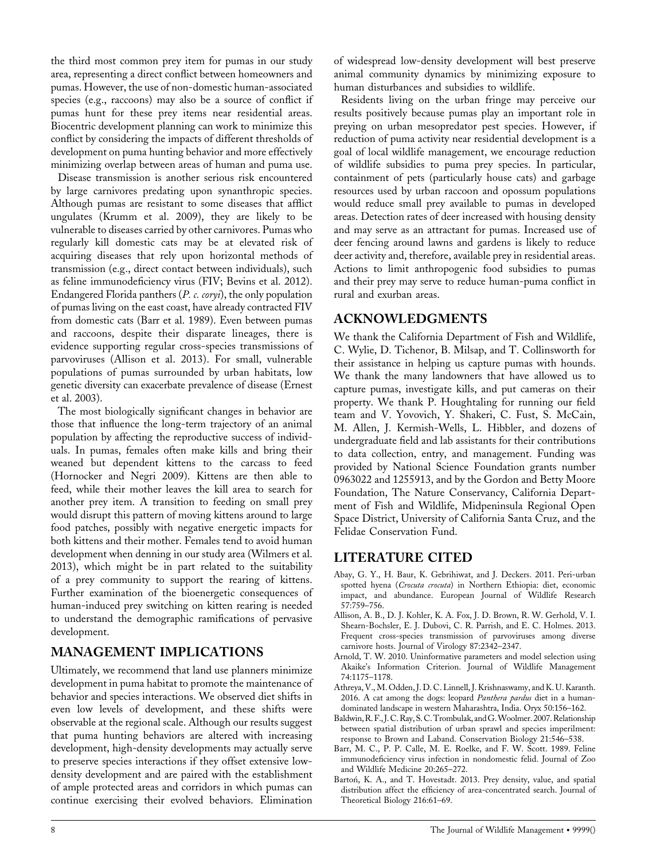the third most common prey item for pumas in our study area, representing a direct conflict between homeowners and pumas. However, the use of non-domestic human-associated species (e.g., raccoons) may also be a source of conflict if pumas hunt for these prey items near residential areas. Biocentric development planning can work to minimize this conflict by considering the impacts of different thresholds of development on puma hunting behavior and more effectively minimizing overlap between areas of human and puma use.

Disease transmission is another serious risk encountered by large carnivores predating upon synanthropic species. Although pumas are resistant to some diseases that afflict ungulates (Krumm et al. 2009), they are likely to be vulnerable to diseases carried by other carnivores. Pumas who regularly kill domestic cats may be at elevated risk of acquiring diseases that rely upon horizontal methods of transmission (e.g., direct contact between individuals), such as feline immunodeficiency virus (FIV; Bevins et al. 2012). Endangered Florida panthers  $(P, c, \text{corr}y)$ , the only population of pumas living on the east coast, have already contracted FIV from domestic cats (Barr et al. 1989). Even between pumas and raccoons, despite their disparate lineages, there is evidence supporting regular cross-species transmissions of parvoviruses (Allison et al. 2013). For small, vulnerable populations of pumas surrounded by urban habitats, low genetic diversity can exacerbate prevalence of disease (Ernest et al. 2003).

The most biologically significant changes in behavior are those that influence the long-term trajectory of an animal population by affecting the reproductive success of individuals. In pumas, females often make kills and bring their weaned but dependent kittens to the carcass to feed (Hornocker and Negri 2009). Kittens are then able to feed, while their mother leaves the kill area to search for another prey item. A transition to feeding on small prey would disrupt this pattern of moving kittens around to large food patches, possibly with negative energetic impacts for both kittens and their mother. Females tend to avoid human development when denning in our study area (Wilmers et al. 2013), which might be in part related to the suitability of a prey community to support the rearing of kittens. Further examination of the bioenergetic consequences of human-induced prey switching on kitten rearing is needed to understand the demographic ramifications of pervasive development.

## MANAGEMENT IMPLICATIONS

Ultimately, we recommend that land use planners minimize development in puma habitat to promote the maintenance of behavior and species interactions. We observed diet shifts in even low levels of development, and these shifts were observable at the regional scale. Although our results suggest that puma hunting behaviors are altered with increasing development, high-density developments may actually serve to preserve species interactions if they offset extensive lowdensity development and are paired with the establishment of ample protected areas and corridors in which pumas can continue exercising their evolved behaviors. Elimination

of widespread low-density development will best preserve animal community dynamics by minimizing exposure to human disturbances and subsidies to wildlife.

Residents living on the urban fringe may perceive our results positively because pumas play an important role in preying on urban mesopredator pest species. However, if reduction of puma activity near residential development is a goal of local wildlife management, we encourage reduction of wildlife subsidies to puma prey species. In particular, containment of pets (particularly house cats) and garbage resources used by urban raccoon and opossum populations would reduce small prey available to pumas in developed areas. Detection rates of deer increased with housing density and may serve as an attractant for pumas. Increased use of deer fencing around lawns and gardens is likely to reduce deer activity and, therefore, available prey in residential areas. Actions to limit anthropogenic food subsidies to pumas and their prey may serve to reduce human-puma conflict in rural and exurban areas.

## ACKNOWLEDGMENTS

We thank the California Department of Fish and Wildlife, C. Wylie, D. Tichenor, B. Milsap, and T. Collinsworth for their assistance in helping us capture pumas with hounds. We thank the many landowners that have allowed us to capture pumas, investigate kills, and put cameras on their property. We thank P. Houghtaling for running our field team and V. Yovovich, Y. Shakeri, C. Fust, S. McCain, M. Allen, J. Kermish-Wells, L. Hibbler, and dozens of undergraduate field and lab assistants for their contributions to data collection, entry, and management. Funding was provided by National Science Foundation grants number 0963022 and 1255913, and by the Gordon and Betty Moore Foundation, The Nature Conservancy, California Department of Fish and Wildlife, Midpeninsula Regional Open Space District, University of California Santa Cruz, and the Felidae Conservation Fund.

## LITERATURE CITED

- Abay, G. Y., H. Baur, K. Gebrihiwat, and J. Deckers. 2011. Peri-urban spotted hyena (Crocuta crocuta) in Northern Ethiopia: diet, economic impact, and abundance. European Journal of Wildlife Research 57:759–756.
- Allison, A. B., D. J. Kohler, K. A. Fox, J. D. Brown, R. W. Gerhold, V. I. Shearn-Bochsler, E. J. Dubovi, C. R. Parrish, and E. C. Holmes. 2013. Frequent cross-species transmission of parvoviruses among diverse carnivore hosts. Journal of Virology 87:2342–2347.
- Arnold, T. W. 2010. Uninformative parameters and model selection using Akaike's Information Criterion. Journal of Wildlife Management 74:1175–1178.
- Athreya, V.,M. Odden, J. D. C. Linnell, J. Krishnaswamy, and K. U. Karanth. 2016. A cat among the dogs: leopard Panthera pardus diet in a humandominated landscape in western Maharashtra, India. Oryx 50:156–162.
- Baldwin, R. F., J. C. Ray, S. C. Trombulak, and G. Woolmer. 2007. Relationship between spatial distribution of urban sprawl and species imperilment: response to Brown and Laband. Conservation Biology 21:546–538.
- Barr, M. C., P. P. Calle, M. E. Roelke, and F. W. Scott. 1989. Feline immunodeficiency virus infection in nondomestic felid. Journal of Zoo and Wildlife Medicine 20:265–272.
- Bartoń, K. A., and T. Hovestadt. 2013. Prey density, value, and spatial distribution affect the efficiency of area-concentrated search. Journal of Theoretical Biology 216:61–69.